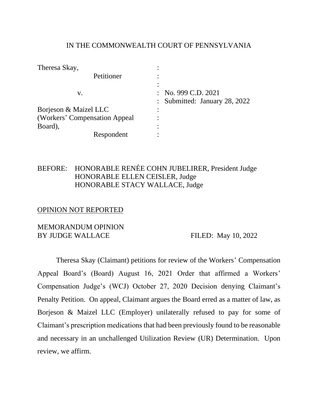### IN THE COMMONWEALTH COURT OF PENNSYLVANIA

| Theresa Skay,                 |                               |
|-------------------------------|-------------------------------|
| Petitioner                    |                               |
|                               |                               |
| v.                            | : No. 999 C.D. 2021           |
|                               | : Submitted: January 28, 2022 |
| Borjeson & Maizel LLC         |                               |
| (Workers' Compensation Appeal |                               |
| Board),                       |                               |
| Respondent                    |                               |

# BEFORE: HONORABLE RENÉE COHN JUBELIRER, President Judge HONORABLE ELLEN CEISLER, Judge HONORABLE STACY WALLACE, Judge

#### OPINION NOT REPORTED

### MEMORANDUM OPINION BY JUDGE WALLACE FILED: May 10, 2022

Theresa Skay (Claimant) petitions for review of the Workers' Compensation Appeal Board's (Board) August 16, 2021 Order that affirmed a Workers' Compensation Judge's (WCJ) October 27, 2020 Decision denying Claimant's Penalty Petition. On appeal, Claimant argues the Board erred as a matter of law, as Borjeson & Maizel LLC (Employer) unilaterally refused to pay for some of Claimant's prescription medications that had been previously found to be reasonable and necessary in an unchallenged Utilization Review (UR) Determination. Upon review, we affirm.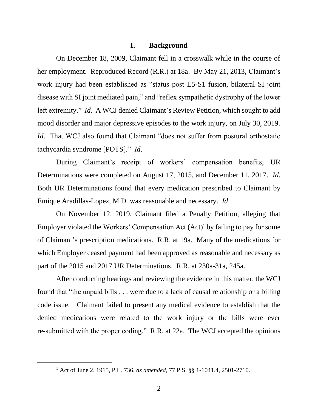#### **I. Background**

On December 18, 2009, Claimant fell in a crosswalk while in the course of her employment. Reproduced Record (R.R.) at 18a. By May 21, 2013, Claimant's work injury had been established as "status post L5-S1 fusion, bilateral SI joint disease with SI joint mediated pain," and "reflex sympathetic dystrophy of the lower left extremity." *Id.* A WCJ denied Claimant's Review Petition, which sought to add mood disorder and major depressive episodes to the work injury, on July 30, 2019. *Id.* That WCJ also found that Claimant "does not suffer from postural orthostatic tachycardia syndrome [POTS]." *Id*.

During Claimant's receipt of workers' compensation benefits, UR Determinations were completed on August 17, 2015, and December 11, 2017. *Id*. Both UR Determinations found that every medication prescribed to Claimant by Emique Aradillas-Lopez, M.D. was reasonable and necessary. *Id*.

On November 12, 2019, Claimant filed a Penalty Petition, alleging that Employer violated the Workers' Compensation Act (Act)<sup>1</sup> by failing to pay for some of Claimant's prescription medications. R.R. at 19a. Many of the medications for which Employer ceased payment had been approved as reasonable and necessary as part of the 2015 and 2017 UR Determinations. R.R. at 230a-31a, 245a.

After conducting hearings and reviewing the evidence in this matter, the WCJ found that "the unpaid bills . . . were due to a lack of causal relationship or a billing code issue. Claimant failed to present any medical evidence to establish that the denied medications were related to the work injury or the bills were ever re-submitted with the proper coding." R.R. at 22a. The WCJ accepted the opinions

<sup>1</sup> Act of June 2, 1915, P.L. 736, *as amended*, 77 P.S. §§ 1-1041.4, 2501-2710.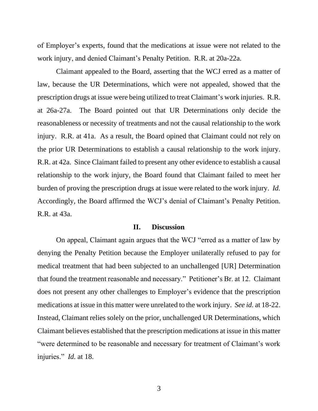of Employer's experts, found that the medications at issue were not related to the work injury, and denied Claimant's Penalty Petition. R.R. at 20a-22a.

Claimant appealed to the Board, asserting that the WCJ erred as a matter of law, because the UR Determinations, which were not appealed, showed that the prescription drugs at issue were being utilized to treat Claimant's work injuries. R.R. at 26a-27a. The Board pointed out that UR Determinations only decide the reasonableness or necessity of treatments and not the causal relationship to the work injury. R.R. at 41a. As a result, the Board opined that Claimant could not rely on the prior UR Determinations to establish a causal relationship to the work injury. R.R. at 42a. Since Claimant failed to present any other evidence to establish a causal relationship to the work injury, the Board found that Claimant failed to meet her burden of proving the prescription drugs at issue were related to the work injury. *Id.*  Accordingly, the Board affirmed the WCJ's denial of Claimant's Penalty Petition. R.R. at 43a.

#### **II. Discussion**

On appeal, Claimant again argues that the WCJ "erred as a matter of law by denying the Penalty Petition because the Employer unilaterally refused to pay for medical treatment that had been subjected to an unchallenged [UR] Determination that found the treatment reasonable and necessary." Petitioner's Br. at 12. Claimant does not present any other challenges to Employer's evidence that the prescription medications at issue in this matter were unrelated to the work injury. *See id.* at 18-22. Instead, Claimant relies solely on the prior, unchallenged UR Determinations, which Claimant believes established that the prescription medications at issue in this matter "were determined to be reasonable and necessary for treatment of Claimant's work injuries." *Id.* at 18.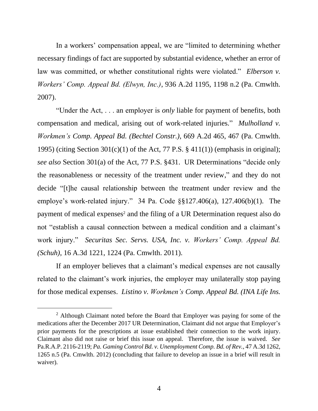In a workers' compensation appeal, we are "limited to determining whether necessary findings of fact are supported by substantial evidence, whether an error of law was committed, or whether constitutional rights were violated." *Elberson v. Workers' Comp. Appeal Bd. (Elwyn, Inc.)*, 936 A.2d 1195, 1198 n.2 (Pa. Cmwlth. 2007).

"Under the Act, . . . an employer is *only* liable for payment of benefits, both compensation and medical, arising out of work-related injuries." *Mulholland v. Workmen's Comp. Appeal Bd. (Bechtel Constr.)*, 669 A.2d 465, 467 (Pa. Cmwlth. 1995) (citing Section  $301(c)(1)$  of the Act, 77 P.S. § 411(1)) (emphasis in original); *see also* Section 301(a) of the Act, 77 P.S. §431. UR Determinations "decide only the reasonableness or necessity of the treatment under review," and they do not decide "[t]he causal relationship between the treatment under review and the employe's work-related injury." 34 Pa. Code §§127.406(a), 127.406(b)(1). The payment of medical expenses<sup>2</sup> and the filing of a UR Determination request also do not "establish a causal connection between a medical condition and a claimant's work injury." *Securitas Sec. Servs. USA, Inc. v. Workers' Comp. Appeal Bd. (Schuh)*, 16 A.3d 1221, 1224 (Pa. Cmwlth. 2011).

If an employer believes that a claimant's medical expenses are not causally related to the claimant's work injuries, the employer may unilaterally stop paying for those medical expenses. *Listino v. Workmen's Comp. Appeal Bd. (INA Life Ins.* 

<sup>&</sup>lt;sup>2</sup> Although Claimant noted before the Board that Employer was paying for some of the medications after the December 2017 UR Determination, Claimant did not argue that Employer's prior payments for the prescriptions at issue established their connection to the work injury. Claimant also did not raise or brief this issue on appeal. Therefore, the issue is waived. *See*  Pa.R.A.P. 2116-2119; *Pa. Gaming Control Bd. v. Unemployment Comp. Bd. of Rev.*, 47 A.3d 1262, 1265 n.5 (Pa. Cmwlth. 2012) (concluding that failure to develop an issue in a brief will result in waiver).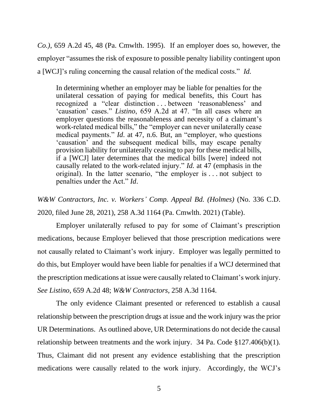*Co.)*, 659 A.2d 45, 48 (Pa. Cmwlth. 1995). If an employer does so, however, the employer "assumes the risk of exposure to possible penalty liability contingent upon a [WCJ]'s ruling concerning the causal relation of the medical costs." *Id.*

In determining whether an employer may be liable for penalties for the unilateral cessation of paying for medical benefits, this Court has recognized a "clear distinction . . . between 'reasonableness' and 'causation' cases." *Listino*, 659 A.2d at 47. "In all cases where an employer questions the reasonableness and necessity of a claimant's work-related medical bills," the "employer can never unilaterally cease medical payments." *Id*. at 47, n.6. But, an "employer, who questions 'causation' and the subsequent medical bills, may escape penalty provision liability for unilaterally ceasing to pay for these medical bills, if a [WCJ] later determines that the medical bills [were] indeed not causally related to the work-related injury." *Id.* at 47 (emphasis in the original). In the latter scenario, "the employer is . . . not subject to penalties under the Act." *Id*.

*W&W Contractors, Inc. v. Workers' Comp. Appeal Bd. (Holmes)* (No. 336 C.D. 2020, filed June 28, 2021), 258 A.3d 1164 (Pa. Cmwlth. 2021) (Table).

Employer unilaterally refused to pay for some of Claimant's prescription medications, because Employer believed that those prescription medications were not causally related to Claimant's work injury. Employer was legally permitted to do this, but Employer would have been liable for penalties if a WCJ determined that the prescription medications at issue were causally related to Claimant's work injury. *See Listino*, 659 A.2d 48; *W&W Contractors*, 258 A.3d 1164.

The only evidence Claimant presented or referenced to establish a causal relationship between the prescription drugs at issue and the work injury was the prior UR Determinations. As outlined above, UR Determinations do not decide the causal relationship between treatments and the work injury. 34 Pa. Code §127.406(b)(1). Thus, Claimant did not present any evidence establishing that the prescription medications were causally related to the work injury. Accordingly, the WCJ's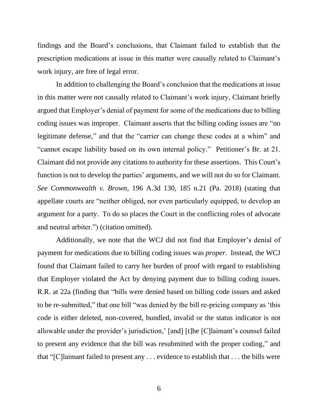findings and the Board's conclusions, that Claimant failed to establish that the prescription medications at issue in this matter were causally related to Claimant's work injury, are free of legal error.

In addition to challenging the Board's conclusion that the medications at issue in this matter were not causally related to Claimant's work injury, Claimant briefly argued that Employer's denial of payment for some of the medications due to billing coding issues was improper. Claimant asserts that the billing coding issues are "no legitimate defense," and that the "carrier can change these codes at a whim" and "cannot escape liability based on its own internal policy." Petitioner's Br. at 21. Claimant did not provide any citations to authority for these assertions. This Court's function is not to develop the parties' arguments, and we will not do so for Claimant. *See Commonwealth v. Brown*, 196 A.3d 130, 185 n.21 (Pa. 2018) (stating that appellate courts are "neither obliged, nor even particularly equipped, to develop an argument for a party. To do so places the Court in the conflicting roles of advocate and neutral arbiter.") (citation omitted).

Additionally, we note that the WCJ did not find that Employer's denial of payment for medications due to billing coding issues was *proper*. Instead, the WCJ found that Claimant failed to carry her burden of proof with regard to establishing that Employer violated the Act by denying payment due to billing coding issues. R.R. at 22a (finding that "bills were denied based on billing code issues and asked to be re-submitted," that one bill "was denied by the bill re-pricing company as 'this code is either deleted, non-covered, bundled, invalid or the status indicator is not allowable under the provider's jurisdiction,' [and] [t]he [C]laimant's counsel failed to present any evidence that the bill was resubmitted with the proper coding," and that "[C]laimant failed to present any . . . evidence to establish that . . . the bills were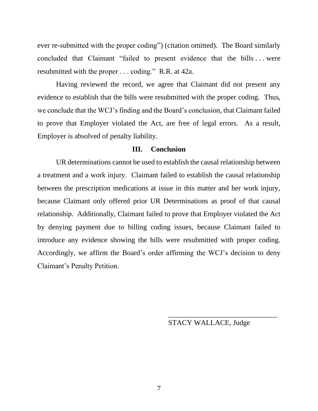ever re-submitted with the proper coding") (citation omitted). The Board similarly concluded that Claimant "failed to present evidence that the bills . . . were resubmitted with the proper . . . coding." R.R. at 42a.

Having reviewed the record, we agree that Claimant did not present any evidence to establish that the bills were resubmitted with the proper coding. Thus, we conclude that the WCJ's finding and the Board's conclusion, that Claimant failed to prove that Employer violated the Act, are free of legal errors. As a result, Employer is absolved of penalty liability.

### **III. Conclusion**

UR determinations cannot be used to establish the causal relationship between a treatment and a work injury. Claimant failed to establish the causal relationship between the prescription medications at issue in this matter and her work injury, because Claimant only offered prior UR Determinations as proof of that causal relationship. Additionally, Claimant failed to prove that Employer violated the Act by denying payment due to billing coding issues, because Claimant failed to introduce any evidence showing the bills were resubmitted with proper coding. Accordingly, we affirm the Board's order affirming the WCJ's decision to deny Claimant's Penalty Petition.

STACY WALLACE, Judge

\_\_\_\_\_\_\_\_\_\_\_\_\_\_\_\_\_\_\_\_\_\_\_\_\_\_\_\_\_\_